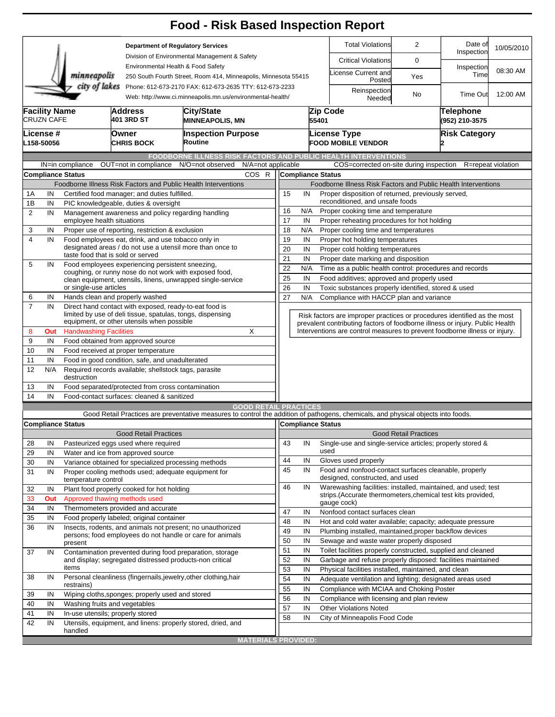| <b>Total Violations</b><br>2<br>Date of<br><b>Department of Regulatory Services</b><br>Inspection<br>Division of Environmental Management & Safety<br><b>Critical Violations</b><br>0<br>Environmental Health & Food Safety<br>Inspection<br>08:30 AM<br>License Current and<br>minneapolis<br>Time<br>Yes<br>250 South Fourth Street, Room 414, Minneapolis, Minnesota 55415<br>Posted<br>city of lakes<br>Phone: 612-673-2170 FAX: 612-673-2635 TTY: 612-673-2233<br>Reinspection<br><b>Time Out</b><br>12:00 AM<br>No<br>Web: http://www.ci.minneapolis.mn.us/environmental-health/<br>Needed<br><b>Facility Name</b><br>Zip Code<br>Telephone<br><b>City/State</b><br>Address<br><b>CRUZN CAFE</b><br>401 3RD ST<br>55401<br>(952) 210-3575<br><b>MINNEAPOLIS, MN</b><br><b>Owner</b><br><b>Inspection Purpose</b><br>License Type<br><b>Risk Category</b><br>License #<br>Routine<br><b>FOOD MOBILE VENDOR</b><br>L158-50056<br><b>CHRIS BOCK</b><br><b>FOODBORNE ILLNESS RISK FACTORS AND PUBLIC HEALTH INTERVENTIONS</b><br>N/A=not applicable<br>OUT=not in compliance<br>N/O=not observed<br>COS=corrected on-site during inspection<br>IN=in compliance<br>R=repeat violation<br><b>Compliance Status</b><br>COS R<br><b>Compliance Status</b><br>Foodborne Illness Risk Factors and Public Health Interventions<br>Foodborne Illness Risk Factors and Public Health Interventions<br>1A<br>IN<br>Certified food manager; and duties fulfilled.<br>15<br>IN<br>Proper disposition of returned, previously served,<br>reconditioned, and unsafe foods<br>1B<br>IN<br>PIC knowledgeable, duties & oversight<br>N/A<br>Proper cooking time and temperature<br>16<br>$\overline{2}$<br>IN<br>Management awareness and policy regarding handling<br>17<br>employee health situations<br>IN<br>Proper reheating procedures for hot holding<br>Proper cooling time and temperatures<br>Proper use of reporting, restriction & exclusion<br>18<br>N/A<br>3<br>IN<br>$\overline{4}$<br>Food employees eat, drink, and use tobacco only in<br>IN<br>19<br>IN<br>Proper hot holding temperatures<br>designated areas / do not use a utensil more than once to<br>20<br>IN<br>Proper cold holding temperatures<br>taste food that is sold or served<br>21<br>IN<br>Proper date marking and disposition<br>5<br>IN<br>Food employees experiencing persistent sneezing,<br>22<br>Time as a public health control: procedures and records<br>N/A<br>coughing, or runny nose do not work with exposed food,<br>25<br>IN<br>Food additives; approved and properly used<br>clean equipment, utensils, linens, unwrapped single-service<br>or single-use articles<br>26<br>IN<br>Toxic substances properly identified, stored & used<br>27<br>Hands clean and properly washed<br>N/A<br>Compliance with HACCP plan and variance<br>6<br>IN<br>$\overline{7}$<br>Direct hand contact with exposed, ready-to-eat food is<br>IN<br>limited by use of deli tissue, spatulas, tongs, dispensing<br>Risk factors are improper practices or procedures identified as the most<br>equipment, or other utensils when possible<br>prevalent contributing factors of foodborne illness or injury. Public Health<br><b>Handwashing Facilities</b><br>X<br>Interventions are control measures to prevent foodborne illness or injury.<br>8<br>Out<br>9<br>IN<br>Food obtained from approved source<br>10<br>IN<br>Food received at proper temperature<br>IN<br>Food in good condition, safe, and unadulterated<br>11<br>12<br>N/A<br>Required records available; shellstock tags, parasite<br>destruction<br>IN<br>Food separated/protected from cross contamination<br>13<br>IN<br>Food-contact surfaces: cleaned & sanitized<br>14<br><b>GOOD RETAIL PRACTICES</b><br>Good Retail Practices are preventative measures to control the addition of pathogens, chemicals, and physical objects into foods.<br>Compliance Status<br><b>Compliance Status</b><br><b>Good Retail Practices</b><br><b>Good Retail Practices</b><br>Single-use and single-service articles; properly stored &<br>IN<br>Pasteurized eggs used where required<br>43<br>28<br>IN<br>used<br>29<br>Water and ice from approved source<br>IN<br>44<br>IN<br>Gloves used properly<br>30<br>IN<br>Variance obtained for specialized processing methods<br>45<br>IN<br>Food and nonfood-contact surfaces cleanable, properly<br>31<br>Proper cooling methods used; adequate equipment for<br>IN<br>designed, constructed, and used<br>temperature control<br>46<br>IN<br>Warewashing facilities: installed, maintained, and used; test<br>32<br>IN<br>Plant food properly cooked for hot holding<br>strips. (Accurate thermometers, chemical test kits provided,<br>Approved thawing methods used<br>33<br>Out<br>gauge cock)<br>34<br>IN<br>Thermometers provided and accurate<br>47<br>IN<br>Nonfood contact surfaces clean<br>35<br>Food properly labeled; original container<br>IN<br>48<br>IN<br>Hot and cold water available; capacity; adequate pressure<br>36<br>IN<br>Insects, rodents, and animals not present; no unauthorized<br>49<br>IN<br>Plumbing installed, maintained, proper backflow devices<br>persons; food employees do not handle or care for animals<br>50<br>IN<br>Sewage and waste water properly disposed<br>present<br>51<br>IN<br>Toilet facilities properly constructed, supplied and cleaned<br>37<br>Contamination prevented during food preparation, storage<br>IN<br>and display; segregated distressed products-non critical<br>52<br>IN<br>Garbage and refuse properly disposed: facilities maintained<br>items<br>53<br>IN<br>Physical facilities installed, maintained, and clean<br>IN<br>Personal cleanliness (fingernails, jewelry, other clothing, hair<br>38<br>54<br>IN<br>Adequate ventilation and lighting; designated areas used<br>restrains)<br>55<br>IN<br>Compliance with MCIAA and Choking Poster<br>IN<br>Wiping cloths, sponges; properly used and stored<br>39<br>56<br>IN<br>Compliance with licensing and plan review<br>Washing fruits and vegetables<br>IN<br>40<br>57<br>IN<br><b>Other Violations Noted</b><br>IN<br>In-use utensils; properly stored<br>41<br>58<br>IN<br>City of Minneapolis Food Code<br>42<br>IN<br>Utensils, equipment, and linens: properly stored, dried, and<br>handled<br><b>MATERIALS PROVIDED:</b> |  |  |  |  | <b>Food - Risk Based Inspection Report</b> |  |  |  |  |  |  |            |  |  |
|-----------------------------------------------------------------------------------------------------------------------------------------------------------------------------------------------------------------------------------------------------------------------------------------------------------------------------------------------------------------------------------------------------------------------------------------------------------------------------------------------------------------------------------------------------------------------------------------------------------------------------------------------------------------------------------------------------------------------------------------------------------------------------------------------------------------------------------------------------------------------------------------------------------------------------------------------------------------------------------------------------------------------------------------------------------------------------------------------------------------------------------------------------------------------------------------------------------------------------------------------------------------------------------------------------------------------------------------------------------------------------------------------------------------------------------------------------------------------------------------------------------------------------------------------------------------------------------------------------------------------------------------------------------------------------------------------------------------------------------------------------------------------------------------------------------------------------------------------------------------------------------------------------------------------------------------------------------------------------------------------------------------------------------------------------------------------------------------------------------------------------------------------------------------------------------------------------------------------------------------------------------------------------------------------------------------------------------------------------------------------------------------------------------------------------------------------------------------------------------------------------------------------------------------------------------------------------------------------------------------------------------------------------------------------------------------------------------------------------------------------------------------------------------------------------------------------------------------------------------------------------------------------------------------------------------------------------------------------------------------------------------------------------------------------------------------------------------------------------------------------------------------------------------------------------------------------------------------------------------------------------------------------------------------------------------------------------------------------------------------------------------------------------------------------------------------------------------------------------------------------------------------------------------------------------------------------------------------------------------------------------------------------------------------------------------------------------------------------------------------------------------------------------------------------------------------------------------------------------------------------------------------------------------------------------------------------------------------------------------------------------------------------------------------------------------------------------------------------------------------------------------------------------------------------------------------------------------------------------------------------------------------------------------------------------------------------------------------------------------------------------------------------------------------------------------------------------------------------------------------------------------------------------------------------------------------------------------------------------------------------------------------------------------------------------------------------------------------------------------------------------------------------------------------------------------------------------------------------------------------------------------------------------------------------------------------------------------------------------------------------------------------------------------------------------------------------------------------------------------------------------------------------------------------------------------------------------------------------------------------------------------------------------------------------------------------------------------------------------------------------------------------------------------------------------------------------------------------------------------------------------------------------------------------------------------------------------------------------------------------------------------------------------------------------------------------------------------------------------------------------------------------------------------------------------------------------------------------------------------------------------------------------------------------------------------------------------------------------------------------------------------------------------------------------------------------------------------------------------------------------------------------------------------------------------------------------------------------------------------------------------------------------------------------------------------------------------------------|--|--|--|--|--------------------------------------------|--|--|--|--|--|--|------------|--|--|
|                                                                                                                                                                                                                                                                                                                                                                                                                                                                                                                                                                                                                                                                                                                                                                                                                                                                                                                                                                                                                                                                                                                                                                                                                                                                                                                                                                                                                                                                                                                                                                                                                                                                                                                                                                                                                                                                                                                                                                                                                                                                                                                                                                                                                                                                                                                                                                                                                                                                                                                                                                                                                                                                                                                                                                                                                                                                                                                                                                                                                                                                                                                                                                                                                                                                                                                                                                                                                                                                                                                                                                                                                                                                                                                                                                                                                                                                                                                                                                                                                                                                                                                                                                                                                                                                                                                                                                                                                                                                                                                                                                                                                                                                                                                                                                                                                                                                                                                                                                                                                                                                                                                                                                                                                                                                                                                                                                                                                                                                                                                                                                                                                                                                                                                                                                                                                                                                                                                                                                                                                                                                                                                                                                                                                                                                                                                                         |  |  |  |  |                                            |  |  |  |  |  |  | 10/05/2010 |  |  |
|                                                                                                                                                                                                                                                                                                                                                                                                                                                                                                                                                                                                                                                                                                                                                                                                                                                                                                                                                                                                                                                                                                                                                                                                                                                                                                                                                                                                                                                                                                                                                                                                                                                                                                                                                                                                                                                                                                                                                                                                                                                                                                                                                                                                                                                                                                                                                                                                                                                                                                                                                                                                                                                                                                                                                                                                                                                                                                                                                                                                                                                                                                                                                                                                                                                                                                                                                                                                                                                                                                                                                                                                                                                                                                                                                                                                                                                                                                                                                                                                                                                                                                                                                                                                                                                                                                                                                                                                                                                                                                                                                                                                                                                                                                                                                                                                                                                                                                                                                                                                                                                                                                                                                                                                                                                                                                                                                                                                                                                                                                                                                                                                                                                                                                                                                                                                                                                                                                                                                                                                                                                                                                                                                                                                                                                                                                                                         |  |  |  |  |                                            |  |  |  |  |  |  |            |  |  |
|                                                                                                                                                                                                                                                                                                                                                                                                                                                                                                                                                                                                                                                                                                                                                                                                                                                                                                                                                                                                                                                                                                                                                                                                                                                                                                                                                                                                                                                                                                                                                                                                                                                                                                                                                                                                                                                                                                                                                                                                                                                                                                                                                                                                                                                                                                                                                                                                                                                                                                                                                                                                                                                                                                                                                                                                                                                                                                                                                                                                                                                                                                                                                                                                                                                                                                                                                                                                                                                                                                                                                                                                                                                                                                                                                                                                                                                                                                                                                                                                                                                                                                                                                                                                                                                                                                                                                                                                                                                                                                                                                                                                                                                                                                                                                                                                                                                                                                                                                                                                                                                                                                                                                                                                                                                                                                                                                                                                                                                                                                                                                                                                                                                                                                                                                                                                                                                                                                                                                                                                                                                                                                                                                                                                                                                                                                                                         |  |  |  |  |                                            |  |  |  |  |  |  |            |  |  |
|                                                                                                                                                                                                                                                                                                                                                                                                                                                                                                                                                                                                                                                                                                                                                                                                                                                                                                                                                                                                                                                                                                                                                                                                                                                                                                                                                                                                                                                                                                                                                                                                                                                                                                                                                                                                                                                                                                                                                                                                                                                                                                                                                                                                                                                                                                                                                                                                                                                                                                                                                                                                                                                                                                                                                                                                                                                                                                                                                                                                                                                                                                                                                                                                                                                                                                                                                                                                                                                                                                                                                                                                                                                                                                                                                                                                                                                                                                                                                                                                                                                                                                                                                                                                                                                                                                                                                                                                                                                                                                                                                                                                                                                                                                                                                                                                                                                                                                                                                                                                                                                                                                                                                                                                                                                                                                                                                                                                                                                                                                                                                                                                                                                                                                                                                                                                                                                                                                                                                                                                                                                                                                                                                                                                                                                                                                                                         |  |  |  |  |                                            |  |  |  |  |  |  |            |  |  |
|                                                                                                                                                                                                                                                                                                                                                                                                                                                                                                                                                                                                                                                                                                                                                                                                                                                                                                                                                                                                                                                                                                                                                                                                                                                                                                                                                                                                                                                                                                                                                                                                                                                                                                                                                                                                                                                                                                                                                                                                                                                                                                                                                                                                                                                                                                                                                                                                                                                                                                                                                                                                                                                                                                                                                                                                                                                                                                                                                                                                                                                                                                                                                                                                                                                                                                                                                                                                                                                                                                                                                                                                                                                                                                                                                                                                                                                                                                                                                                                                                                                                                                                                                                                                                                                                                                                                                                                                                                                                                                                                                                                                                                                                                                                                                                                                                                                                                                                                                                                                                                                                                                                                                                                                                                                                                                                                                                                                                                                                                                                                                                                                                                                                                                                                                                                                                                                                                                                                                                                                                                                                                                                                                                                                                                                                                                                                         |  |  |  |  |                                            |  |  |  |  |  |  |            |  |  |
|                                                                                                                                                                                                                                                                                                                                                                                                                                                                                                                                                                                                                                                                                                                                                                                                                                                                                                                                                                                                                                                                                                                                                                                                                                                                                                                                                                                                                                                                                                                                                                                                                                                                                                                                                                                                                                                                                                                                                                                                                                                                                                                                                                                                                                                                                                                                                                                                                                                                                                                                                                                                                                                                                                                                                                                                                                                                                                                                                                                                                                                                                                                                                                                                                                                                                                                                                                                                                                                                                                                                                                                                                                                                                                                                                                                                                                                                                                                                                                                                                                                                                                                                                                                                                                                                                                                                                                                                                                                                                                                                                                                                                                                                                                                                                                                                                                                                                                                                                                                                                                                                                                                                                                                                                                                                                                                                                                                                                                                                                                                                                                                                                                                                                                                                                                                                                                                                                                                                                                                                                                                                                                                                                                                                                                                                                                                                         |  |  |  |  |                                            |  |  |  |  |  |  |            |  |  |
|                                                                                                                                                                                                                                                                                                                                                                                                                                                                                                                                                                                                                                                                                                                                                                                                                                                                                                                                                                                                                                                                                                                                                                                                                                                                                                                                                                                                                                                                                                                                                                                                                                                                                                                                                                                                                                                                                                                                                                                                                                                                                                                                                                                                                                                                                                                                                                                                                                                                                                                                                                                                                                                                                                                                                                                                                                                                                                                                                                                                                                                                                                                                                                                                                                                                                                                                                                                                                                                                                                                                                                                                                                                                                                                                                                                                                                                                                                                                                                                                                                                                                                                                                                                                                                                                                                                                                                                                                                                                                                                                                                                                                                                                                                                                                                                                                                                                                                                                                                                                                                                                                                                                                                                                                                                                                                                                                                                                                                                                                                                                                                                                                                                                                                                                                                                                                                                                                                                                                                                                                                                                                                                                                                                                                                                                                                                                         |  |  |  |  |                                            |  |  |  |  |  |  |            |  |  |
|                                                                                                                                                                                                                                                                                                                                                                                                                                                                                                                                                                                                                                                                                                                                                                                                                                                                                                                                                                                                                                                                                                                                                                                                                                                                                                                                                                                                                                                                                                                                                                                                                                                                                                                                                                                                                                                                                                                                                                                                                                                                                                                                                                                                                                                                                                                                                                                                                                                                                                                                                                                                                                                                                                                                                                                                                                                                                                                                                                                                                                                                                                                                                                                                                                                                                                                                                                                                                                                                                                                                                                                                                                                                                                                                                                                                                                                                                                                                                                                                                                                                                                                                                                                                                                                                                                                                                                                                                                                                                                                                                                                                                                                                                                                                                                                                                                                                                                                                                                                                                                                                                                                                                                                                                                                                                                                                                                                                                                                                                                                                                                                                                                                                                                                                                                                                                                                                                                                                                                                                                                                                                                                                                                                                                                                                                                                                         |  |  |  |  |                                            |  |  |  |  |  |  |            |  |  |
|                                                                                                                                                                                                                                                                                                                                                                                                                                                                                                                                                                                                                                                                                                                                                                                                                                                                                                                                                                                                                                                                                                                                                                                                                                                                                                                                                                                                                                                                                                                                                                                                                                                                                                                                                                                                                                                                                                                                                                                                                                                                                                                                                                                                                                                                                                                                                                                                                                                                                                                                                                                                                                                                                                                                                                                                                                                                                                                                                                                                                                                                                                                                                                                                                                                                                                                                                                                                                                                                                                                                                                                                                                                                                                                                                                                                                                                                                                                                                                                                                                                                                                                                                                                                                                                                                                                                                                                                                                                                                                                                                                                                                                                                                                                                                                                                                                                                                                                                                                                                                                                                                                                                                                                                                                                                                                                                                                                                                                                                                                                                                                                                                                                                                                                                                                                                                                                                                                                                                                                                                                                                                                                                                                                                                                                                                                                                         |  |  |  |  |                                            |  |  |  |  |  |  |            |  |  |
|                                                                                                                                                                                                                                                                                                                                                                                                                                                                                                                                                                                                                                                                                                                                                                                                                                                                                                                                                                                                                                                                                                                                                                                                                                                                                                                                                                                                                                                                                                                                                                                                                                                                                                                                                                                                                                                                                                                                                                                                                                                                                                                                                                                                                                                                                                                                                                                                                                                                                                                                                                                                                                                                                                                                                                                                                                                                                                                                                                                                                                                                                                                                                                                                                                                                                                                                                                                                                                                                                                                                                                                                                                                                                                                                                                                                                                                                                                                                                                                                                                                                                                                                                                                                                                                                                                                                                                                                                                                                                                                                                                                                                                                                                                                                                                                                                                                                                                                                                                                                                                                                                                                                                                                                                                                                                                                                                                                                                                                                                                                                                                                                                                                                                                                                                                                                                                                                                                                                                                                                                                                                                                                                                                                                                                                                                                                                         |  |  |  |  |                                            |  |  |  |  |  |  |            |  |  |
|                                                                                                                                                                                                                                                                                                                                                                                                                                                                                                                                                                                                                                                                                                                                                                                                                                                                                                                                                                                                                                                                                                                                                                                                                                                                                                                                                                                                                                                                                                                                                                                                                                                                                                                                                                                                                                                                                                                                                                                                                                                                                                                                                                                                                                                                                                                                                                                                                                                                                                                                                                                                                                                                                                                                                                                                                                                                                                                                                                                                                                                                                                                                                                                                                                                                                                                                                                                                                                                                                                                                                                                                                                                                                                                                                                                                                                                                                                                                                                                                                                                                                                                                                                                                                                                                                                                                                                                                                                                                                                                                                                                                                                                                                                                                                                                                                                                                                                                                                                                                                                                                                                                                                                                                                                                                                                                                                                                                                                                                                                                                                                                                                                                                                                                                                                                                                                                                                                                                                                                                                                                                                                                                                                                                                                                                                                                                         |  |  |  |  |                                            |  |  |  |  |  |  |            |  |  |
|                                                                                                                                                                                                                                                                                                                                                                                                                                                                                                                                                                                                                                                                                                                                                                                                                                                                                                                                                                                                                                                                                                                                                                                                                                                                                                                                                                                                                                                                                                                                                                                                                                                                                                                                                                                                                                                                                                                                                                                                                                                                                                                                                                                                                                                                                                                                                                                                                                                                                                                                                                                                                                                                                                                                                                                                                                                                                                                                                                                                                                                                                                                                                                                                                                                                                                                                                                                                                                                                                                                                                                                                                                                                                                                                                                                                                                                                                                                                                                                                                                                                                                                                                                                                                                                                                                                                                                                                                                                                                                                                                                                                                                                                                                                                                                                                                                                                                                                                                                                                                                                                                                                                                                                                                                                                                                                                                                                                                                                                                                                                                                                                                                                                                                                                                                                                                                                                                                                                                                                                                                                                                                                                                                                                                                                                                                                                         |  |  |  |  |                                            |  |  |  |  |  |  |            |  |  |
|                                                                                                                                                                                                                                                                                                                                                                                                                                                                                                                                                                                                                                                                                                                                                                                                                                                                                                                                                                                                                                                                                                                                                                                                                                                                                                                                                                                                                                                                                                                                                                                                                                                                                                                                                                                                                                                                                                                                                                                                                                                                                                                                                                                                                                                                                                                                                                                                                                                                                                                                                                                                                                                                                                                                                                                                                                                                                                                                                                                                                                                                                                                                                                                                                                                                                                                                                                                                                                                                                                                                                                                                                                                                                                                                                                                                                                                                                                                                                                                                                                                                                                                                                                                                                                                                                                                                                                                                                                                                                                                                                                                                                                                                                                                                                                                                                                                                                                                                                                                                                                                                                                                                                                                                                                                                                                                                                                                                                                                                                                                                                                                                                                                                                                                                                                                                                                                                                                                                                                                                                                                                                                                                                                                                                                                                                                                                         |  |  |  |  |                                            |  |  |  |  |  |  |            |  |  |
|                                                                                                                                                                                                                                                                                                                                                                                                                                                                                                                                                                                                                                                                                                                                                                                                                                                                                                                                                                                                                                                                                                                                                                                                                                                                                                                                                                                                                                                                                                                                                                                                                                                                                                                                                                                                                                                                                                                                                                                                                                                                                                                                                                                                                                                                                                                                                                                                                                                                                                                                                                                                                                                                                                                                                                                                                                                                                                                                                                                                                                                                                                                                                                                                                                                                                                                                                                                                                                                                                                                                                                                                                                                                                                                                                                                                                                                                                                                                                                                                                                                                                                                                                                                                                                                                                                                                                                                                                                                                                                                                                                                                                                                                                                                                                                                                                                                                                                                                                                                                                                                                                                                                                                                                                                                                                                                                                                                                                                                                                                                                                                                                                                                                                                                                                                                                                                                                                                                                                                                                                                                                                                                                                                                                                                                                                                                                         |  |  |  |  |                                            |  |  |  |  |  |  |            |  |  |
|                                                                                                                                                                                                                                                                                                                                                                                                                                                                                                                                                                                                                                                                                                                                                                                                                                                                                                                                                                                                                                                                                                                                                                                                                                                                                                                                                                                                                                                                                                                                                                                                                                                                                                                                                                                                                                                                                                                                                                                                                                                                                                                                                                                                                                                                                                                                                                                                                                                                                                                                                                                                                                                                                                                                                                                                                                                                                                                                                                                                                                                                                                                                                                                                                                                                                                                                                                                                                                                                                                                                                                                                                                                                                                                                                                                                                                                                                                                                                                                                                                                                                                                                                                                                                                                                                                                                                                                                                                                                                                                                                                                                                                                                                                                                                                                                                                                                                                                                                                                                                                                                                                                                                                                                                                                                                                                                                                                                                                                                                                                                                                                                                                                                                                                                                                                                                                                                                                                                                                                                                                                                                                                                                                                                                                                                                                                                         |  |  |  |  |                                            |  |  |  |  |  |  |            |  |  |
|                                                                                                                                                                                                                                                                                                                                                                                                                                                                                                                                                                                                                                                                                                                                                                                                                                                                                                                                                                                                                                                                                                                                                                                                                                                                                                                                                                                                                                                                                                                                                                                                                                                                                                                                                                                                                                                                                                                                                                                                                                                                                                                                                                                                                                                                                                                                                                                                                                                                                                                                                                                                                                                                                                                                                                                                                                                                                                                                                                                                                                                                                                                                                                                                                                                                                                                                                                                                                                                                                                                                                                                                                                                                                                                                                                                                                                                                                                                                                                                                                                                                                                                                                                                                                                                                                                                                                                                                                                                                                                                                                                                                                                                                                                                                                                                                                                                                                                                                                                                                                                                                                                                                                                                                                                                                                                                                                                                                                                                                                                                                                                                                                                                                                                                                                                                                                                                                                                                                                                                                                                                                                                                                                                                                                                                                                                                                         |  |  |  |  |                                            |  |  |  |  |  |  |            |  |  |
|                                                                                                                                                                                                                                                                                                                                                                                                                                                                                                                                                                                                                                                                                                                                                                                                                                                                                                                                                                                                                                                                                                                                                                                                                                                                                                                                                                                                                                                                                                                                                                                                                                                                                                                                                                                                                                                                                                                                                                                                                                                                                                                                                                                                                                                                                                                                                                                                                                                                                                                                                                                                                                                                                                                                                                                                                                                                                                                                                                                                                                                                                                                                                                                                                                                                                                                                                                                                                                                                                                                                                                                                                                                                                                                                                                                                                                                                                                                                                                                                                                                                                                                                                                                                                                                                                                                                                                                                                                                                                                                                                                                                                                                                                                                                                                                                                                                                                                                                                                                                                                                                                                                                                                                                                                                                                                                                                                                                                                                                                                                                                                                                                                                                                                                                                                                                                                                                                                                                                                                                                                                                                                                                                                                                                                                                                                                                         |  |  |  |  |                                            |  |  |  |  |  |  |            |  |  |
|                                                                                                                                                                                                                                                                                                                                                                                                                                                                                                                                                                                                                                                                                                                                                                                                                                                                                                                                                                                                                                                                                                                                                                                                                                                                                                                                                                                                                                                                                                                                                                                                                                                                                                                                                                                                                                                                                                                                                                                                                                                                                                                                                                                                                                                                                                                                                                                                                                                                                                                                                                                                                                                                                                                                                                                                                                                                                                                                                                                                                                                                                                                                                                                                                                                                                                                                                                                                                                                                                                                                                                                                                                                                                                                                                                                                                                                                                                                                                                                                                                                                                                                                                                                                                                                                                                                                                                                                                                                                                                                                                                                                                                                                                                                                                                                                                                                                                                                                                                                                                                                                                                                                                                                                                                                                                                                                                                                                                                                                                                                                                                                                                                                                                                                                                                                                                                                                                                                                                                                                                                                                                                                                                                                                                                                                                                                                         |  |  |  |  |                                            |  |  |  |  |  |  |            |  |  |
|                                                                                                                                                                                                                                                                                                                                                                                                                                                                                                                                                                                                                                                                                                                                                                                                                                                                                                                                                                                                                                                                                                                                                                                                                                                                                                                                                                                                                                                                                                                                                                                                                                                                                                                                                                                                                                                                                                                                                                                                                                                                                                                                                                                                                                                                                                                                                                                                                                                                                                                                                                                                                                                                                                                                                                                                                                                                                                                                                                                                                                                                                                                                                                                                                                                                                                                                                                                                                                                                                                                                                                                                                                                                                                                                                                                                                                                                                                                                                                                                                                                                                                                                                                                                                                                                                                                                                                                                                                                                                                                                                                                                                                                                                                                                                                                                                                                                                                                                                                                                                                                                                                                                                                                                                                                                                                                                                                                                                                                                                                                                                                                                                                                                                                                                                                                                                                                                                                                                                                                                                                                                                                                                                                                                                                                                                                                                         |  |  |  |  |                                            |  |  |  |  |  |  |            |  |  |
|                                                                                                                                                                                                                                                                                                                                                                                                                                                                                                                                                                                                                                                                                                                                                                                                                                                                                                                                                                                                                                                                                                                                                                                                                                                                                                                                                                                                                                                                                                                                                                                                                                                                                                                                                                                                                                                                                                                                                                                                                                                                                                                                                                                                                                                                                                                                                                                                                                                                                                                                                                                                                                                                                                                                                                                                                                                                                                                                                                                                                                                                                                                                                                                                                                                                                                                                                                                                                                                                                                                                                                                                                                                                                                                                                                                                                                                                                                                                                                                                                                                                                                                                                                                                                                                                                                                                                                                                                                                                                                                                                                                                                                                                                                                                                                                                                                                                                                                                                                                                                                                                                                                                                                                                                                                                                                                                                                                                                                                                                                                                                                                                                                                                                                                                                                                                                                                                                                                                                                                                                                                                                                                                                                                                                                                                                                                                         |  |  |  |  |                                            |  |  |  |  |  |  |            |  |  |
|                                                                                                                                                                                                                                                                                                                                                                                                                                                                                                                                                                                                                                                                                                                                                                                                                                                                                                                                                                                                                                                                                                                                                                                                                                                                                                                                                                                                                                                                                                                                                                                                                                                                                                                                                                                                                                                                                                                                                                                                                                                                                                                                                                                                                                                                                                                                                                                                                                                                                                                                                                                                                                                                                                                                                                                                                                                                                                                                                                                                                                                                                                                                                                                                                                                                                                                                                                                                                                                                                                                                                                                                                                                                                                                                                                                                                                                                                                                                                                                                                                                                                                                                                                                                                                                                                                                                                                                                                                                                                                                                                                                                                                                                                                                                                                                                                                                                                                                                                                                                                                                                                                                                                                                                                                                                                                                                                                                                                                                                                                                                                                                                                                                                                                                                                                                                                                                                                                                                                                                                                                                                                                                                                                                                                                                                                                                                         |  |  |  |  |                                            |  |  |  |  |  |  |            |  |  |
|                                                                                                                                                                                                                                                                                                                                                                                                                                                                                                                                                                                                                                                                                                                                                                                                                                                                                                                                                                                                                                                                                                                                                                                                                                                                                                                                                                                                                                                                                                                                                                                                                                                                                                                                                                                                                                                                                                                                                                                                                                                                                                                                                                                                                                                                                                                                                                                                                                                                                                                                                                                                                                                                                                                                                                                                                                                                                                                                                                                                                                                                                                                                                                                                                                                                                                                                                                                                                                                                                                                                                                                                                                                                                                                                                                                                                                                                                                                                                                                                                                                                                                                                                                                                                                                                                                                                                                                                                                                                                                                                                                                                                                                                                                                                                                                                                                                                                                                                                                                                                                                                                                                                                                                                                                                                                                                                                                                                                                                                                                                                                                                                                                                                                                                                                                                                                                                                                                                                                                                                                                                                                                                                                                                                                                                                                                                                         |  |  |  |  |                                            |  |  |  |  |  |  |            |  |  |
|                                                                                                                                                                                                                                                                                                                                                                                                                                                                                                                                                                                                                                                                                                                                                                                                                                                                                                                                                                                                                                                                                                                                                                                                                                                                                                                                                                                                                                                                                                                                                                                                                                                                                                                                                                                                                                                                                                                                                                                                                                                                                                                                                                                                                                                                                                                                                                                                                                                                                                                                                                                                                                                                                                                                                                                                                                                                                                                                                                                                                                                                                                                                                                                                                                                                                                                                                                                                                                                                                                                                                                                                                                                                                                                                                                                                                                                                                                                                                                                                                                                                                                                                                                                                                                                                                                                                                                                                                                                                                                                                                                                                                                                                                                                                                                                                                                                                                                                                                                                                                                                                                                                                                                                                                                                                                                                                                                                                                                                                                                                                                                                                                                                                                                                                                                                                                                                                                                                                                                                                                                                                                                                                                                                                                                                                                                                                         |  |  |  |  |                                            |  |  |  |  |  |  |            |  |  |
|                                                                                                                                                                                                                                                                                                                                                                                                                                                                                                                                                                                                                                                                                                                                                                                                                                                                                                                                                                                                                                                                                                                                                                                                                                                                                                                                                                                                                                                                                                                                                                                                                                                                                                                                                                                                                                                                                                                                                                                                                                                                                                                                                                                                                                                                                                                                                                                                                                                                                                                                                                                                                                                                                                                                                                                                                                                                                                                                                                                                                                                                                                                                                                                                                                                                                                                                                                                                                                                                                                                                                                                                                                                                                                                                                                                                                                                                                                                                                                                                                                                                                                                                                                                                                                                                                                                                                                                                                                                                                                                                                                                                                                                                                                                                                                                                                                                                                                                                                                                                                                                                                                                                                                                                                                                                                                                                                                                                                                                                                                                                                                                                                                                                                                                                                                                                                                                                                                                                                                                                                                                                                                                                                                                                                                                                                                                                         |  |  |  |  |                                            |  |  |  |  |  |  |            |  |  |
|                                                                                                                                                                                                                                                                                                                                                                                                                                                                                                                                                                                                                                                                                                                                                                                                                                                                                                                                                                                                                                                                                                                                                                                                                                                                                                                                                                                                                                                                                                                                                                                                                                                                                                                                                                                                                                                                                                                                                                                                                                                                                                                                                                                                                                                                                                                                                                                                                                                                                                                                                                                                                                                                                                                                                                                                                                                                                                                                                                                                                                                                                                                                                                                                                                                                                                                                                                                                                                                                                                                                                                                                                                                                                                                                                                                                                                                                                                                                                                                                                                                                                                                                                                                                                                                                                                                                                                                                                                                                                                                                                                                                                                                                                                                                                                                                                                                                                                                                                                                                                                                                                                                                                                                                                                                                                                                                                                                                                                                                                                                                                                                                                                                                                                                                                                                                                                                                                                                                                                                                                                                                                                                                                                                                                                                                                                                                         |  |  |  |  |                                            |  |  |  |  |  |  |            |  |  |
|                                                                                                                                                                                                                                                                                                                                                                                                                                                                                                                                                                                                                                                                                                                                                                                                                                                                                                                                                                                                                                                                                                                                                                                                                                                                                                                                                                                                                                                                                                                                                                                                                                                                                                                                                                                                                                                                                                                                                                                                                                                                                                                                                                                                                                                                                                                                                                                                                                                                                                                                                                                                                                                                                                                                                                                                                                                                                                                                                                                                                                                                                                                                                                                                                                                                                                                                                                                                                                                                                                                                                                                                                                                                                                                                                                                                                                                                                                                                                                                                                                                                                                                                                                                                                                                                                                                                                                                                                                                                                                                                                                                                                                                                                                                                                                                                                                                                                                                                                                                                                                                                                                                                                                                                                                                                                                                                                                                                                                                                                                                                                                                                                                                                                                                                                                                                                                                                                                                                                                                                                                                                                                                                                                                                                                                                                                                                         |  |  |  |  |                                            |  |  |  |  |  |  |            |  |  |
|                                                                                                                                                                                                                                                                                                                                                                                                                                                                                                                                                                                                                                                                                                                                                                                                                                                                                                                                                                                                                                                                                                                                                                                                                                                                                                                                                                                                                                                                                                                                                                                                                                                                                                                                                                                                                                                                                                                                                                                                                                                                                                                                                                                                                                                                                                                                                                                                                                                                                                                                                                                                                                                                                                                                                                                                                                                                                                                                                                                                                                                                                                                                                                                                                                                                                                                                                                                                                                                                                                                                                                                                                                                                                                                                                                                                                                                                                                                                                                                                                                                                                                                                                                                                                                                                                                                                                                                                                                                                                                                                                                                                                                                                                                                                                                                                                                                                                                                                                                                                                                                                                                                                                                                                                                                                                                                                                                                                                                                                                                                                                                                                                                                                                                                                                                                                                                                                                                                                                                                                                                                                                                                                                                                                                                                                                                                                         |  |  |  |  |                                            |  |  |  |  |  |  |            |  |  |
|                                                                                                                                                                                                                                                                                                                                                                                                                                                                                                                                                                                                                                                                                                                                                                                                                                                                                                                                                                                                                                                                                                                                                                                                                                                                                                                                                                                                                                                                                                                                                                                                                                                                                                                                                                                                                                                                                                                                                                                                                                                                                                                                                                                                                                                                                                                                                                                                                                                                                                                                                                                                                                                                                                                                                                                                                                                                                                                                                                                                                                                                                                                                                                                                                                                                                                                                                                                                                                                                                                                                                                                                                                                                                                                                                                                                                                                                                                                                                                                                                                                                                                                                                                                                                                                                                                                                                                                                                                                                                                                                                                                                                                                                                                                                                                                                                                                                                                                                                                                                                                                                                                                                                                                                                                                                                                                                                                                                                                                                                                                                                                                                                                                                                                                                                                                                                                                                                                                                                                                                                                                                                                                                                                                                                                                                                                                                         |  |  |  |  |                                            |  |  |  |  |  |  |            |  |  |
|                                                                                                                                                                                                                                                                                                                                                                                                                                                                                                                                                                                                                                                                                                                                                                                                                                                                                                                                                                                                                                                                                                                                                                                                                                                                                                                                                                                                                                                                                                                                                                                                                                                                                                                                                                                                                                                                                                                                                                                                                                                                                                                                                                                                                                                                                                                                                                                                                                                                                                                                                                                                                                                                                                                                                                                                                                                                                                                                                                                                                                                                                                                                                                                                                                                                                                                                                                                                                                                                                                                                                                                                                                                                                                                                                                                                                                                                                                                                                                                                                                                                                                                                                                                                                                                                                                                                                                                                                                                                                                                                                                                                                                                                                                                                                                                                                                                                                                                                                                                                                                                                                                                                                                                                                                                                                                                                                                                                                                                                                                                                                                                                                                                                                                                                                                                                                                                                                                                                                                                                                                                                                                                                                                                                                                                                                                                                         |  |  |  |  |                                            |  |  |  |  |  |  |            |  |  |
|                                                                                                                                                                                                                                                                                                                                                                                                                                                                                                                                                                                                                                                                                                                                                                                                                                                                                                                                                                                                                                                                                                                                                                                                                                                                                                                                                                                                                                                                                                                                                                                                                                                                                                                                                                                                                                                                                                                                                                                                                                                                                                                                                                                                                                                                                                                                                                                                                                                                                                                                                                                                                                                                                                                                                                                                                                                                                                                                                                                                                                                                                                                                                                                                                                                                                                                                                                                                                                                                                                                                                                                                                                                                                                                                                                                                                                                                                                                                                                                                                                                                                                                                                                                                                                                                                                                                                                                                                                                                                                                                                                                                                                                                                                                                                                                                                                                                                                                                                                                                                                                                                                                                                                                                                                                                                                                                                                                                                                                                                                                                                                                                                                                                                                                                                                                                                                                                                                                                                                                                                                                                                                                                                                                                                                                                                                                                         |  |  |  |  |                                            |  |  |  |  |  |  |            |  |  |
|                                                                                                                                                                                                                                                                                                                                                                                                                                                                                                                                                                                                                                                                                                                                                                                                                                                                                                                                                                                                                                                                                                                                                                                                                                                                                                                                                                                                                                                                                                                                                                                                                                                                                                                                                                                                                                                                                                                                                                                                                                                                                                                                                                                                                                                                                                                                                                                                                                                                                                                                                                                                                                                                                                                                                                                                                                                                                                                                                                                                                                                                                                                                                                                                                                                                                                                                                                                                                                                                                                                                                                                                                                                                                                                                                                                                                                                                                                                                                                                                                                                                                                                                                                                                                                                                                                                                                                                                                                                                                                                                                                                                                                                                                                                                                                                                                                                                                                                                                                                                                                                                                                                                                                                                                                                                                                                                                                                                                                                                                                                                                                                                                                                                                                                                                                                                                                                                                                                                                                                                                                                                                                                                                                                                                                                                                                                                         |  |  |  |  |                                            |  |  |  |  |  |  |            |  |  |
|                                                                                                                                                                                                                                                                                                                                                                                                                                                                                                                                                                                                                                                                                                                                                                                                                                                                                                                                                                                                                                                                                                                                                                                                                                                                                                                                                                                                                                                                                                                                                                                                                                                                                                                                                                                                                                                                                                                                                                                                                                                                                                                                                                                                                                                                                                                                                                                                                                                                                                                                                                                                                                                                                                                                                                                                                                                                                                                                                                                                                                                                                                                                                                                                                                                                                                                                                                                                                                                                                                                                                                                                                                                                                                                                                                                                                                                                                                                                                                                                                                                                                                                                                                                                                                                                                                                                                                                                                                                                                                                                                                                                                                                                                                                                                                                                                                                                                                                                                                                                                                                                                                                                                                                                                                                                                                                                                                                                                                                                                                                                                                                                                                                                                                                                                                                                                                                                                                                                                                                                                                                                                                                                                                                                                                                                                                                                         |  |  |  |  |                                            |  |  |  |  |  |  |            |  |  |
|                                                                                                                                                                                                                                                                                                                                                                                                                                                                                                                                                                                                                                                                                                                                                                                                                                                                                                                                                                                                                                                                                                                                                                                                                                                                                                                                                                                                                                                                                                                                                                                                                                                                                                                                                                                                                                                                                                                                                                                                                                                                                                                                                                                                                                                                                                                                                                                                                                                                                                                                                                                                                                                                                                                                                                                                                                                                                                                                                                                                                                                                                                                                                                                                                                                                                                                                                                                                                                                                                                                                                                                                                                                                                                                                                                                                                                                                                                                                                                                                                                                                                                                                                                                                                                                                                                                                                                                                                                                                                                                                                                                                                                                                                                                                                                                                                                                                                                                                                                                                                                                                                                                                                                                                                                                                                                                                                                                                                                                                                                                                                                                                                                                                                                                                                                                                                                                                                                                                                                                                                                                                                                                                                                                                                                                                                                                                         |  |  |  |  |                                            |  |  |  |  |  |  |            |  |  |
|                                                                                                                                                                                                                                                                                                                                                                                                                                                                                                                                                                                                                                                                                                                                                                                                                                                                                                                                                                                                                                                                                                                                                                                                                                                                                                                                                                                                                                                                                                                                                                                                                                                                                                                                                                                                                                                                                                                                                                                                                                                                                                                                                                                                                                                                                                                                                                                                                                                                                                                                                                                                                                                                                                                                                                                                                                                                                                                                                                                                                                                                                                                                                                                                                                                                                                                                                                                                                                                                                                                                                                                                                                                                                                                                                                                                                                                                                                                                                                                                                                                                                                                                                                                                                                                                                                                                                                                                                                                                                                                                                                                                                                                                                                                                                                                                                                                                                                                                                                                                                                                                                                                                                                                                                                                                                                                                                                                                                                                                                                                                                                                                                                                                                                                                                                                                                                                                                                                                                                                                                                                                                                                                                                                                                                                                                                                                         |  |  |  |  |                                            |  |  |  |  |  |  |            |  |  |
|                                                                                                                                                                                                                                                                                                                                                                                                                                                                                                                                                                                                                                                                                                                                                                                                                                                                                                                                                                                                                                                                                                                                                                                                                                                                                                                                                                                                                                                                                                                                                                                                                                                                                                                                                                                                                                                                                                                                                                                                                                                                                                                                                                                                                                                                                                                                                                                                                                                                                                                                                                                                                                                                                                                                                                                                                                                                                                                                                                                                                                                                                                                                                                                                                                                                                                                                                                                                                                                                                                                                                                                                                                                                                                                                                                                                                                                                                                                                                                                                                                                                                                                                                                                                                                                                                                                                                                                                                                                                                                                                                                                                                                                                                                                                                                                                                                                                                                                                                                                                                                                                                                                                                                                                                                                                                                                                                                                                                                                                                                                                                                                                                                                                                                                                                                                                                                                                                                                                                                                                                                                                                                                                                                                                                                                                                                                                         |  |  |  |  |                                            |  |  |  |  |  |  |            |  |  |
|                                                                                                                                                                                                                                                                                                                                                                                                                                                                                                                                                                                                                                                                                                                                                                                                                                                                                                                                                                                                                                                                                                                                                                                                                                                                                                                                                                                                                                                                                                                                                                                                                                                                                                                                                                                                                                                                                                                                                                                                                                                                                                                                                                                                                                                                                                                                                                                                                                                                                                                                                                                                                                                                                                                                                                                                                                                                                                                                                                                                                                                                                                                                                                                                                                                                                                                                                                                                                                                                                                                                                                                                                                                                                                                                                                                                                                                                                                                                                                                                                                                                                                                                                                                                                                                                                                                                                                                                                                                                                                                                                                                                                                                                                                                                                                                                                                                                                                                                                                                                                                                                                                                                                                                                                                                                                                                                                                                                                                                                                                                                                                                                                                                                                                                                                                                                                                                                                                                                                                                                                                                                                                                                                                                                                                                                                                                                         |  |  |  |  |                                            |  |  |  |  |  |  |            |  |  |
|                                                                                                                                                                                                                                                                                                                                                                                                                                                                                                                                                                                                                                                                                                                                                                                                                                                                                                                                                                                                                                                                                                                                                                                                                                                                                                                                                                                                                                                                                                                                                                                                                                                                                                                                                                                                                                                                                                                                                                                                                                                                                                                                                                                                                                                                                                                                                                                                                                                                                                                                                                                                                                                                                                                                                                                                                                                                                                                                                                                                                                                                                                                                                                                                                                                                                                                                                                                                                                                                                                                                                                                                                                                                                                                                                                                                                                                                                                                                                                                                                                                                                                                                                                                                                                                                                                                                                                                                                                                                                                                                                                                                                                                                                                                                                                                                                                                                                                                                                                                                                                                                                                                                                                                                                                                                                                                                                                                                                                                                                                                                                                                                                                                                                                                                                                                                                                                                                                                                                                                                                                                                                                                                                                                                                                                                                                                                         |  |  |  |  |                                            |  |  |  |  |  |  |            |  |  |
|                                                                                                                                                                                                                                                                                                                                                                                                                                                                                                                                                                                                                                                                                                                                                                                                                                                                                                                                                                                                                                                                                                                                                                                                                                                                                                                                                                                                                                                                                                                                                                                                                                                                                                                                                                                                                                                                                                                                                                                                                                                                                                                                                                                                                                                                                                                                                                                                                                                                                                                                                                                                                                                                                                                                                                                                                                                                                                                                                                                                                                                                                                                                                                                                                                                                                                                                                                                                                                                                                                                                                                                                                                                                                                                                                                                                                                                                                                                                                                                                                                                                                                                                                                                                                                                                                                                                                                                                                                                                                                                                                                                                                                                                                                                                                                                                                                                                                                                                                                                                                                                                                                                                                                                                                                                                                                                                                                                                                                                                                                                                                                                                                                                                                                                                                                                                                                                                                                                                                                                                                                                                                                                                                                                                                                                                                                                                         |  |  |  |  |                                            |  |  |  |  |  |  |            |  |  |
|                                                                                                                                                                                                                                                                                                                                                                                                                                                                                                                                                                                                                                                                                                                                                                                                                                                                                                                                                                                                                                                                                                                                                                                                                                                                                                                                                                                                                                                                                                                                                                                                                                                                                                                                                                                                                                                                                                                                                                                                                                                                                                                                                                                                                                                                                                                                                                                                                                                                                                                                                                                                                                                                                                                                                                                                                                                                                                                                                                                                                                                                                                                                                                                                                                                                                                                                                                                                                                                                                                                                                                                                                                                                                                                                                                                                                                                                                                                                                                                                                                                                                                                                                                                                                                                                                                                                                                                                                                                                                                                                                                                                                                                                                                                                                                                                                                                                                                                                                                                                                                                                                                                                                                                                                                                                                                                                                                                                                                                                                                                                                                                                                                                                                                                                                                                                                                                                                                                                                                                                                                                                                                                                                                                                                                                                                                                                         |  |  |  |  |                                            |  |  |  |  |  |  |            |  |  |
|                                                                                                                                                                                                                                                                                                                                                                                                                                                                                                                                                                                                                                                                                                                                                                                                                                                                                                                                                                                                                                                                                                                                                                                                                                                                                                                                                                                                                                                                                                                                                                                                                                                                                                                                                                                                                                                                                                                                                                                                                                                                                                                                                                                                                                                                                                                                                                                                                                                                                                                                                                                                                                                                                                                                                                                                                                                                                                                                                                                                                                                                                                                                                                                                                                                                                                                                                                                                                                                                                                                                                                                                                                                                                                                                                                                                                                                                                                                                                                                                                                                                                                                                                                                                                                                                                                                                                                                                                                                                                                                                                                                                                                                                                                                                                                                                                                                                                                                                                                                                                                                                                                                                                                                                                                                                                                                                                                                                                                                                                                                                                                                                                                                                                                                                                                                                                                                                                                                                                                                                                                                                                                                                                                                                                                                                                                                                         |  |  |  |  |                                            |  |  |  |  |  |  |            |  |  |
|                                                                                                                                                                                                                                                                                                                                                                                                                                                                                                                                                                                                                                                                                                                                                                                                                                                                                                                                                                                                                                                                                                                                                                                                                                                                                                                                                                                                                                                                                                                                                                                                                                                                                                                                                                                                                                                                                                                                                                                                                                                                                                                                                                                                                                                                                                                                                                                                                                                                                                                                                                                                                                                                                                                                                                                                                                                                                                                                                                                                                                                                                                                                                                                                                                                                                                                                                                                                                                                                                                                                                                                                                                                                                                                                                                                                                                                                                                                                                                                                                                                                                                                                                                                                                                                                                                                                                                                                                                                                                                                                                                                                                                                                                                                                                                                                                                                                                                                                                                                                                                                                                                                                                                                                                                                                                                                                                                                                                                                                                                                                                                                                                                                                                                                                                                                                                                                                                                                                                                                                                                                                                                                                                                                                                                                                                                                                         |  |  |  |  |                                            |  |  |  |  |  |  |            |  |  |
|                                                                                                                                                                                                                                                                                                                                                                                                                                                                                                                                                                                                                                                                                                                                                                                                                                                                                                                                                                                                                                                                                                                                                                                                                                                                                                                                                                                                                                                                                                                                                                                                                                                                                                                                                                                                                                                                                                                                                                                                                                                                                                                                                                                                                                                                                                                                                                                                                                                                                                                                                                                                                                                                                                                                                                                                                                                                                                                                                                                                                                                                                                                                                                                                                                                                                                                                                                                                                                                                                                                                                                                                                                                                                                                                                                                                                                                                                                                                                                                                                                                                                                                                                                                                                                                                                                                                                                                                                                                                                                                                                                                                                                                                                                                                                                                                                                                                                                                                                                                                                                                                                                                                                                                                                                                                                                                                                                                                                                                                                                                                                                                                                                                                                                                                                                                                                                                                                                                                                                                                                                                                                                                                                                                                                                                                                                                                         |  |  |  |  |                                            |  |  |  |  |  |  |            |  |  |
|                                                                                                                                                                                                                                                                                                                                                                                                                                                                                                                                                                                                                                                                                                                                                                                                                                                                                                                                                                                                                                                                                                                                                                                                                                                                                                                                                                                                                                                                                                                                                                                                                                                                                                                                                                                                                                                                                                                                                                                                                                                                                                                                                                                                                                                                                                                                                                                                                                                                                                                                                                                                                                                                                                                                                                                                                                                                                                                                                                                                                                                                                                                                                                                                                                                                                                                                                                                                                                                                                                                                                                                                                                                                                                                                                                                                                                                                                                                                                                                                                                                                                                                                                                                                                                                                                                                                                                                                                                                                                                                                                                                                                                                                                                                                                                                                                                                                                                                                                                                                                                                                                                                                                                                                                                                                                                                                                                                                                                                                                                                                                                                                                                                                                                                                                                                                                                                                                                                                                                                                                                                                                                                                                                                                                                                                                                                                         |  |  |  |  |                                            |  |  |  |  |  |  |            |  |  |
|                                                                                                                                                                                                                                                                                                                                                                                                                                                                                                                                                                                                                                                                                                                                                                                                                                                                                                                                                                                                                                                                                                                                                                                                                                                                                                                                                                                                                                                                                                                                                                                                                                                                                                                                                                                                                                                                                                                                                                                                                                                                                                                                                                                                                                                                                                                                                                                                                                                                                                                                                                                                                                                                                                                                                                                                                                                                                                                                                                                                                                                                                                                                                                                                                                                                                                                                                                                                                                                                                                                                                                                                                                                                                                                                                                                                                                                                                                                                                                                                                                                                                                                                                                                                                                                                                                                                                                                                                                                                                                                                                                                                                                                                                                                                                                                                                                                                                                                                                                                                                                                                                                                                                                                                                                                                                                                                                                                                                                                                                                                                                                                                                                                                                                                                                                                                                                                                                                                                                                                                                                                                                                                                                                                                                                                                                                                                         |  |  |  |  |                                            |  |  |  |  |  |  |            |  |  |
|                                                                                                                                                                                                                                                                                                                                                                                                                                                                                                                                                                                                                                                                                                                                                                                                                                                                                                                                                                                                                                                                                                                                                                                                                                                                                                                                                                                                                                                                                                                                                                                                                                                                                                                                                                                                                                                                                                                                                                                                                                                                                                                                                                                                                                                                                                                                                                                                                                                                                                                                                                                                                                                                                                                                                                                                                                                                                                                                                                                                                                                                                                                                                                                                                                                                                                                                                                                                                                                                                                                                                                                                                                                                                                                                                                                                                                                                                                                                                                                                                                                                                                                                                                                                                                                                                                                                                                                                                                                                                                                                                                                                                                                                                                                                                                                                                                                                                                                                                                                                                                                                                                                                                                                                                                                                                                                                                                                                                                                                                                                                                                                                                                                                                                                                                                                                                                                                                                                                                                                                                                                                                                                                                                                                                                                                                                                                         |  |  |  |  |                                            |  |  |  |  |  |  |            |  |  |
|                                                                                                                                                                                                                                                                                                                                                                                                                                                                                                                                                                                                                                                                                                                                                                                                                                                                                                                                                                                                                                                                                                                                                                                                                                                                                                                                                                                                                                                                                                                                                                                                                                                                                                                                                                                                                                                                                                                                                                                                                                                                                                                                                                                                                                                                                                                                                                                                                                                                                                                                                                                                                                                                                                                                                                                                                                                                                                                                                                                                                                                                                                                                                                                                                                                                                                                                                                                                                                                                                                                                                                                                                                                                                                                                                                                                                                                                                                                                                                                                                                                                                                                                                                                                                                                                                                                                                                                                                                                                                                                                                                                                                                                                                                                                                                                                                                                                                                                                                                                                                                                                                                                                                                                                                                                                                                                                                                                                                                                                                                                                                                                                                                                                                                                                                                                                                                                                                                                                                                                                                                                                                                                                                                                                                                                                                                                                         |  |  |  |  |                                            |  |  |  |  |  |  |            |  |  |
|                                                                                                                                                                                                                                                                                                                                                                                                                                                                                                                                                                                                                                                                                                                                                                                                                                                                                                                                                                                                                                                                                                                                                                                                                                                                                                                                                                                                                                                                                                                                                                                                                                                                                                                                                                                                                                                                                                                                                                                                                                                                                                                                                                                                                                                                                                                                                                                                                                                                                                                                                                                                                                                                                                                                                                                                                                                                                                                                                                                                                                                                                                                                                                                                                                                                                                                                                                                                                                                                                                                                                                                                                                                                                                                                                                                                                                                                                                                                                                                                                                                                                                                                                                                                                                                                                                                                                                                                                                                                                                                                                                                                                                                                                                                                                                                                                                                                                                                                                                                                                                                                                                                                                                                                                                                                                                                                                                                                                                                                                                                                                                                                                                                                                                                                                                                                                                                                                                                                                                                                                                                                                                                                                                                                                                                                                                                                         |  |  |  |  |                                            |  |  |  |  |  |  |            |  |  |
|                                                                                                                                                                                                                                                                                                                                                                                                                                                                                                                                                                                                                                                                                                                                                                                                                                                                                                                                                                                                                                                                                                                                                                                                                                                                                                                                                                                                                                                                                                                                                                                                                                                                                                                                                                                                                                                                                                                                                                                                                                                                                                                                                                                                                                                                                                                                                                                                                                                                                                                                                                                                                                                                                                                                                                                                                                                                                                                                                                                                                                                                                                                                                                                                                                                                                                                                                                                                                                                                                                                                                                                                                                                                                                                                                                                                                                                                                                                                                                                                                                                                                                                                                                                                                                                                                                                                                                                                                                                                                                                                                                                                                                                                                                                                                                                                                                                                                                                                                                                                                                                                                                                                                                                                                                                                                                                                                                                                                                                                                                                                                                                                                                                                                                                                                                                                                                                                                                                                                                                                                                                                                                                                                                                                                                                                                                                                         |  |  |  |  |                                            |  |  |  |  |  |  |            |  |  |
|                                                                                                                                                                                                                                                                                                                                                                                                                                                                                                                                                                                                                                                                                                                                                                                                                                                                                                                                                                                                                                                                                                                                                                                                                                                                                                                                                                                                                                                                                                                                                                                                                                                                                                                                                                                                                                                                                                                                                                                                                                                                                                                                                                                                                                                                                                                                                                                                                                                                                                                                                                                                                                                                                                                                                                                                                                                                                                                                                                                                                                                                                                                                                                                                                                                                                                                                                                                                                                                                                                                                                                                                                                                                                                                                                                                                                                                                                                                                                                                                                                                                                                                                                                                                                                                                                                                                                                                                                                                                                                                                                                                                                                                                                                                                                                                                                                                                                                                                                                                                                                                                                                                                                                                                                                                                                                                                                                                                                                                                                                                                                                                                                                                                                                                                                                                                                                                                                                                                                                                                                                                                                                                                                                                                                                                                                                                                         |  |  |  |  |                                            |  |  |  |  |  |  |            |  |  |
|                                                                                                                                                                                                                                                                                                                                                                                                                                                                                                                                                                                                                                                                                                                                                                                                                                                                                                                                                                                                                                                                                                                                                                                                                                                                                                                                                                                                                                                                                                                                                                                                                                                                                                                                                                                                                                                                                                                                                                                                                                                                                                                                                                                                                                                                                                                                                                                                                                                                                                                                                                                                                                                                                                                                                                                                                                                                                                                                                                                                                                                                                                                                                                                                                                                                                                                                                                                                                                                                                                                                                                                                                                                                                                                                                                                                                                                                                                                                                                                                                                                                                                                                                                                                                                                                                                                                                                                                                                                                                                                                                                                                                                                                                                                                                                                                                                                                                                                                                                                                                                                                                                                                                                                                                                                                                                                                                                                                                                                                                                                                                                                                                                                                                                                                                                                                                                                                                                                                                                                                                                                                                                                                                                                                                                                                                                                                         |  |  |  |  |                                            |  |  |  |  |  |  |            |  |  |
|                                                                                                                                                                                                                                                                                                                                                                                                                                                                                                                                                                                                                                                                                                                                                                                                                                                                                                                                                                                                                                                                                                                                                                                                                                                                                                                                                                                                                                                                                                                                                                                                                                                                                                                                                                                                                                                                                                                                                                                                                                                                                                                                                                                                                                                                                                                                                                                                                                                                                                                                                                                                                                                                                                                                                                                                                                                                                                                                                                                                                                                                                                                                                                                                                                                                                                                                                                                                                                                                                                                                                                                                                                                                                                                                                                                                                                                                                                                                                                                                                                                                                                                                                                                                                                                                                                                                                                                                                                                                                                                                                                                                                                                                                                                                                                                                                                                                                                                                                                                                                                                                                                                                                                                                                                                                                                                                                                                                                                                                                                                                                                                                                                                                                                                                                                                                                                                                                                                                                                                                                                                                                                                                                                                                                                                                                                                                         |  |  |  |  |                                            |  |  |  |  |  |  |            |  |  |
|                                                                                                                                                                                                                                                                                                                                                                                                                                                                                                                                                                                                                                                                                                                                                                                                                                                                                                                                                                                                                                                                                                                                                                                                                                                                                                                                                                                                                                                                                                                                                                                                                                                                                                                                                                                                                                                                                                                                                                                                                                                                                                                                                                                                                                                                                                                                                                                                                                                                                                                                                                                                                                                                                                                                                                                                                                                                                                                                                                                                                                                                                                                                                                                                                                                                                                                                                                                                                                                                                                                                                                                                                                                                                                                                                                                                                                                                                                                                                                                                                                                                                                                                                                                                                                                                                                                                                                                                                                                                                                                                                                                                                                                                                                                                                                                                                                                                                                                                                                                                                                                                                                                                                                                                                                                                                                                                                                                                                                                                                                                                                                                                                                                                                                                                                                                                                                                                                                                                                                                                                                                                                                                                                                                                                                                                                                                                         |  |  |  |  |                                            |  |  |  |  |  |  |            |  |  |
|                                                                                                                                                                                                                                                                                                                                                                                                                                                                                                                                                                                                                                                                                                                                                                                                                                                                                                                                                                                                                                                                                                                                                                                                                                                                                                                                                                                                                                                                                                                                                                                                                                                                                                                                                                                                                                                                                                                                                                                                                                                                                                                                                                                                                                                                                                                                                                                                                                                                                                                                                                                                                                                                                                                                                                                                                                                                                                                                                                                                                                                                                                                                                                                                                                                                                                                                                                                                                                                                                                                                                                                                                                                                                                                                                                                                                                                                                                                                                                                                                                                                                                                                                                                                                                                                                                                                                                                                                                                                                                                                                                                                                                                                                                                                                                                                                                                                                                                                                                                                                                                                                                                                                                                                                                                                                                                                                                                                                                                                                                                                                                                                                                                                                                                                                                                                                                                                                                                                                                                                                                                                                                                                                                                                                                                                                                                                         |  |  |  |  |                                            |  |  |  |  |  |  |            |  |  |